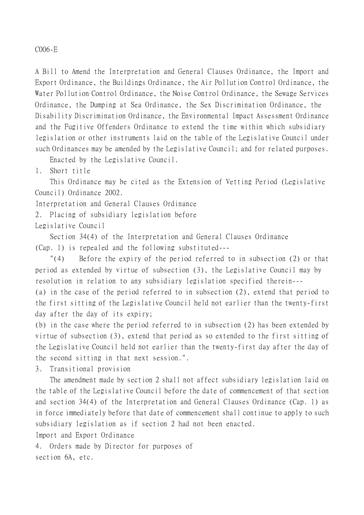C006-E

A Bill to Amend the Interpretation and General Clauses Ordinance, the Import and Export Ordinance, the Buildings Ordinance, the Air Pollution Control Ordinance, the Water Pollution Control Ordinance, the Noise Control Ordinance, the Sewage Services Ordinance, the Dumping at Sea Ordinance, the Sex Discrimination Ordinance, the Disability Discrimination Ordinance, the Environmental Impact Assessment Ordinance and the Fugitive Offenders Ordinance to extend the time within which subsidiary legislation or other instruments laid on the table of the Legislative Council under such Ordinances may be amended by the Legislative Council; and for related purposes.

Enacted by the Legislative Council.

1. Short title

This Ordinance may be cited as the Extension of Vetting Period (Legislative Council) Ordinance 2002.

Interpretation and General Clauses Ordinance

2. Placing of subsidiary legislation before

Legislative Council

Section 34(4) of the Interpretation and General Clauses Ordinance (Cap. 1) is repealed and the following substituted---

"(4) Before the expiry of the period referred to in subsection (2) or that period as extended by virtue of subsection (3), the Legislative Council may by resolution in relation to any subsidiary legislation specified therein---

(a) in the case of the period referred to in subsection (2), extend that period to the first sitting of the Legislative Council held not earlier than the twenty-first day after the day of its expiry;

(b) in the case where the period referred to in subsection (2) has been extended by virtue of subsection (3), extend that period as so extended to the first sitting of the Legislative Council held not earlier than the twenty-first day after the day of the second sitting in that next session.".

3. Transitional provision

The amendment made by section 2 shall not affect subsidiary legislation laid on the table of the Legislative Council before the date of commencement of that section and section 34(4) of the Interpretation and General Clauses Ordinance (Cap. 1) as in force immediately before that date of commencement shall continue to apply to such subsidiary legislation as if section 2 had not been enacted.

Import and Export Ordinance

4. Orders made by Director for purposes of section 6A, etc.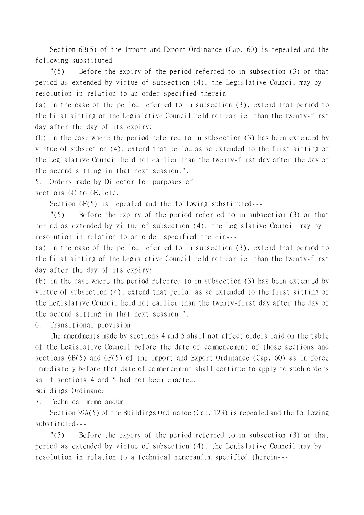Section 6B(5) of the Import and Export Ordinance (Cap. 60) is repealed and the following substituted---

"(5) Before the expiry of the period referred to in subsection (3) or that period as extended by virtue of subsection (4), the Legislative Council may by resolution in relation to an order specified therein---

(a) in the case of the period referred to in subsection (3), extend that period to the first sitting of the Legislative Council held not earlier than the twenty-first day after the day of its expiry;

(b) in the case where the period referred to in subsection (3) has been extended by virtue of subsection (4), extend that period as so extended to the first sitting of the Legislative Council held not earlier than the twenty-first day after the day of the second sitting in that next session.".

5. Orders made by Director for purposes of sections 6C to 6E, etc.

Section 6F(5) is repealed and the following substituted---

"(5) Before the expiry of the period referred to in subsection (3) or that period as extended by virtue of subsection (4), the Legislative Council may by resolution in relation to an order specified therein---

(a) in the case of the period referred to in subsection (3), extend that period to the first sitting of the Legislative Council held not earlier than the twenty-first day after the day of its expiry;

(b) in the case where the period referred to in subsection (3) has been extended by virtue of subsection (4), extend that period as so extended to the first sitting of the Legislative Council held not earlier than the twenty-first day after the day of the second sitting in that next session.".

6. Transitional provision

The amendments made by sections 4 and 5 shall not affect orders laid on the table of the Legislative Council before the date of commencement of those sections and sections 6B(5) and 6F(5) of the Import and Export Ordinance (Cap. 60) as in force immediately before that date of commencement shall continue to apply to such orders as if sections 4 and 5 had not been enacted.

Buildings Ordinance

7. Technical memorandum

Section 39A(5) of the Buildings Ordinance (Cap. 123) is repealed and the following substituted---

"(5) Before the expiry of the period referred to in subsection (3) or that period as extended by virtue of subsection (4), the Legislative Council may by resolution in relation to a technical memorandum specified therein---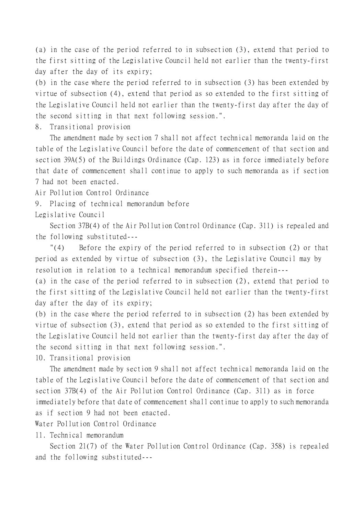(a) in the case of the period referred to in subsection (3), extend that period to the first sitting of the Legislative Council held not earlier than the twenty-first day after the day of its expiry;

(b) in the case where the period referred to in subsection (3) has been extended by virtue of subsection (4), extend that period as so extended to the first sitting of the Legislative Council held not earlier than the twenty-first day after the day of the second sitting in that next following session.".

8. Transitional provision

The amendment made by section 7 shall not affect technical memoranda laid on the table of the Legislative Council before the date of commencement of that section and section 39A(5) of the Buildings Ordinance (Cap. 123) as in force immediately before that date of commencement shall continue to apply to such memoranda as if section 7 had not been enacted.

Air Pollution Control Ordinance

9. Placing of technical memorandum before

Legislative Council

Section 37B(4) of the Air Pollution Control Ordinance (Cap. 311) is repealed and the following substituted---

"(4) Before the expiry of the period referred to in subsection (2) or that period as extended by virtue of subsection (3), the Legislative Council may by resolution in relation to a technical memorandum specified therein---

(a) in the case of the period referred to in subsection (2), extend that period to the first sitting of the Legislative Council held not earlier than the twenty-first day after the day of its expiry;

(b) in the case where the period referred to in subsection (2) has been extended by virtue of subsection (3), extend that period as so extended to the first sitting of the Legislative Council held not earlier than the twenty-first day after the day of the second sitting in that next following session.".

10. Transitional provision

The amendment made by section 9 shall not affect technical memoranda laid on the table of the Legislative Council before the date of commencement of that section and section 37B(4) of the Air Pollution Control Ordinance (Cap. 311) as in force immediately before that date of commencement shall continue to apply to such memoranda as if section 9 had not been enacted.

Water Pollution Control Ordinance

11. Technical memorandum

Section 21(7) of the Water Pollution Control Ordinance (Cap. 358) is repealed and the following substituted---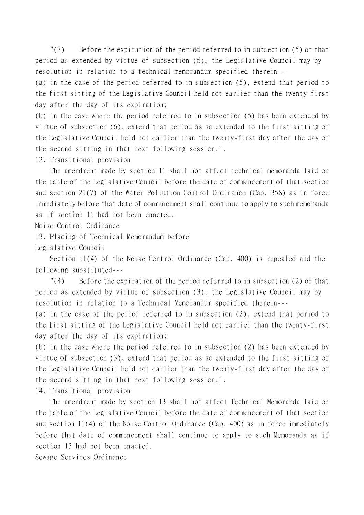"(7) Before the expiration of the period referred to in subsection (5) or that period as extended by virtue of subsection (6), the Legislative Council may by resolution in relation to a technical memorandum specified therein---

(a) in the case of the period referred to in subsection (5), extend that period to the first sitting of the Legislative Council held not earlier than the twenty-first day after the day of its expiration;

(b) in the case where the period referred to in subsection (5) has been extended by virtue of subsection (6), extend that period as so extended to the first sitting of the Legislative Council held not earlier than the twenty-first day after the day of the second sitting in that next following session.".

12. Transitional provision

The amendment made by section 11 shall not affect technical memoranda laid on the table of the Legislative Council before the date of commencement of that section and section 21(7) of the Water Pollution Control Ordinance (Cap. 358) as in force immediately before that date of commencement shall continue to apply to such memoranda as if section 11 had not been enacted.

Noise Control Ordinance

13. Placing of Technical Memorandum before

Legislative Council

Section 11(4) of the Noise Control Ordinance (Cap. 400) is repealed and the following substituted---

"(4) Before the expiration of the period referred to in subsection (2) or that period as extended by virtue of subsection (3), the Legislative Council may by resolution in relation to a Technical Memorandum specified therein---

(a) in the case of the period referred to in subsection (2), extend that period to the first sitting of the Legislative Council held not earlier than the twenty-first day after the day of its expiration;

(b) in the case where the period referred to in subsection (2) has been extended by virtue of subsection (3), extend that period as so extended to the first sitting of the Legislative Council held not earlier than the twenty-first day after the day of the second sitting in that next following session.".

14. Transitional provision

The amendment made by section 13 shall not affect Technical Memoranda laid on the table of the Legislative Council before the date of commencement of that section and section 11(4) of the Noise Control Ordinance (Cap. 400) as in force immediately before that date of commencement shall continue to apply to such Memoranda as if section 13 had not been enacted.

Sewage Services Ordinance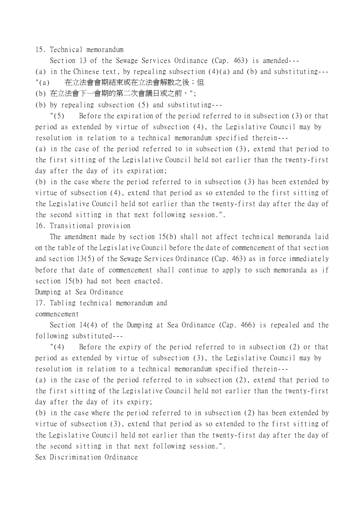15. Technical memorandum

Section 13 of the Sewage Services Ordinance (Cap. 463) is amended---

(a) in the Chinese text, by repealing subsection (4)(a) and (b) and substituting---

- "(a) 在立法會會期結束或在立法會解散之後;但
- (b) 在立法會㆘㆒會期的第㆓次會議日或之前,";
- (b) by repealing subsection (5) and substituting---

"(5) Before the expiration of the period referred to in subsection (3) or that period as extended by virtue of subsection (4), the Legislative Council may by resolution in relation to a technical memorandum specified therein---

(a) in the case of the period referred to in subsection (3), extend that period to the first sitting of the Legislative Council held not earlier than the twenty-first day after the day of its expiration;

(b) in the case where the period referred to in subsection (3) has been extended by virtue of subsection (4), extend that period as so extended to the first sitting of the Legislative Council held not earlier than the twenty-first day after the day of the second sitting in that next following session.".

16. Transitional provision

The amendment made by section 15(b) shall not affect technical memoranda laid on the table of the Legislative Council before the date of commencement of that section and section 13(5) of the Sewage Services Ordinance (Cap. 463) as in force immediately before that date of commencement shall continue to apply to such memoranda as if section 15(b) had not been enacted.

Dumping at Sea Ordinance

17. Tabling technical memorandum and

commencement

Section 14(4) of the Dumping at Sea Ordinance (Cap. 466) is repealed and the following substituted---

"(4) Before the expiry of the period referred to in subsection (2) or that period as extended by virtue of subsection (3), the Legislative Council may by resolution in relation to a technical memorandum specified therein---

(a) in the case of the period referred to in subsection (2), extend that period to the first sitting of the Legislative Council held not earlier than the twenty-first day after the day of its expiry;

(b) in the case where the period referred to in subsection (2) has been extended by virtue of subsection (3), extend that period as so extended to the first sitting of the Legislative Council held not earlier than the twenty-first day after the day of the second sitting in that next following session.".

Sex Discrimination Ordinance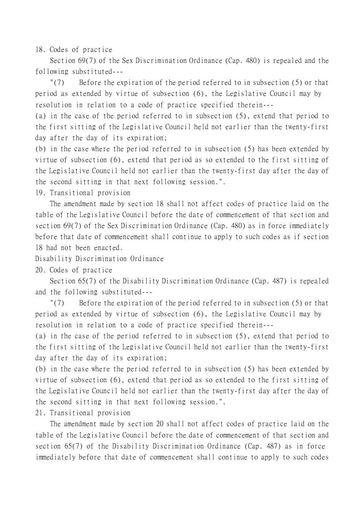18. Codes of practice

Section 69(7) of the Sex Discrimination Ordinance (Cap. 480) is repealed and the following substituted---

"(7) Before the expiration of the period referred to in subsection (5) or that period as extended by virtue of subsection (6), the Legislative Council may by resolution in relation to a code of practice specified therein---

(a) in the case of the period referred to in subsection (5), extend that period to the first sitting of the Legislative Council held not earlier than the twenty-first day after the day of its expiration;

(b) in the case where the period referred to in subsection (5) has been extended by virtue of subsection (6), extend that period as so extended to the first sitting of the Legislative Council held not earlier than the twenty-first day after the day of the second sitting in that next following session.".

19. Transitional provision

The amendment made by section 18 shall not affect codes of practice laid on the table of the Legislative Council before the date of commencement of that section and section 69(7) of the Sex Discrimination Ordinance (Cap. 480) as in force immediately before that date of commencement shall continue to apply to such codes as if section 18 had not been enacted.

Disability Discrimination Ordinance

20. Codes of practice

Section 65(7) of the Disability Discrimination Ordinance (Cap. 487) is repealed and the following substituted---

"(7) Before the expiration of the period referred to in subsection (5) or that period as extended by virtue of subsection (6), the Legislative Council may by resolution in relation to a code of practice specified therein---

(a) in the case of the period referred to in subsection (5), extend that period to the first sitting of the Legislative Council held not earlier than the twenty-first day after the day of its expiration;

(b) in the case where the period referred to in subsection (5) has been extended by virtue of subsection (6), extend that period as so extended to the first sitting of the Legislative Council held not earlier than the twenty-first day after the day of the second sitting in that next following session.".

21. Transitional provision

The amendment made by section 20 shall not affect codes of practice laid on the table of the Legislative Council before the date of commencement of that section and section 65(7) of the Disability Discrimination Ordinance (Cap. 487) as in force immediately before that date of commencement shall continue to apply to such codes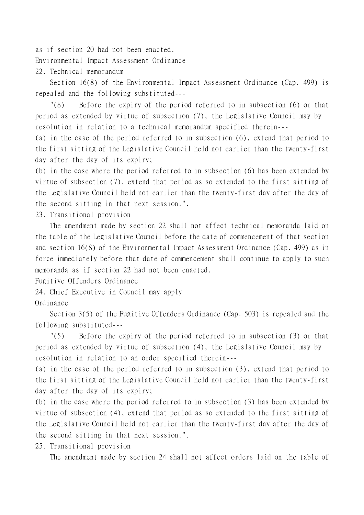as if section 20 had not been enacted.

Environmental Impact Assessment Ordinance

22. Technical memorandum

Section 16(8) of the Environmental Impact Assessment Ordinance (Cap. 499) is repealed and the following substituted---

"(8) Before the expiry of the period referred to in subsection (6) or that period as extended by virtue of subsection (7), the Legislative Council may by resolution in relation to a technical memorandum specified therein---

(a) in the case of the period referred to in subsection (6), extend that period to the first sitting of the Legislative Council held not earlier than the twenty-first day after the day of its expiry;

(b) in the case where the period referred to in subsection (6) has been extended by virtue of subsection (7), extend that period as so extended to the first sitting of the Legislative Council held not earlier than the twenty-first day after the day of the second sitting in that next session.".

23. Transitional provision

The amendment made by section 22 shall not affect technical memoranda laid on the table of the Legislative Council before the date of commencement of that section and section 16(8) of the Environmental Impact Assessment Ordinance (Cap. 499) as in force immediately before that date of commencement shall continue to apply to such memoranda as if section 22 had not been enacted.

Fugitive Offenders Ordinance

24. Chief Executive in Council may apply

Ordinance

Section 3(5) of the Fugitive Offenders Ordinance (Cap. 503) is repealed and the following substituted---

"(5) Before the expiry of the period referred to in subsection (3) or that period as extended by virtue of subsection (4), the Legislative Council may by resolution in relation to an order specified therein---

(a) in the case of the period referred to in subsection (3), extend that period to the first sitting of the Legislative Council held not earlier than the twenty-first day after the day of its expiry;

(b) in the case where the period referred to in subsection (3) has been extended by virtue of subsection (4), extend that period as so extended to the first sitting of the Legislative Council held not earlier than the twenty-first day after the day of the second sitting in that next session.".

25. Transitional provision

The amendment made by section 24 shall not affect orders laid on the table of